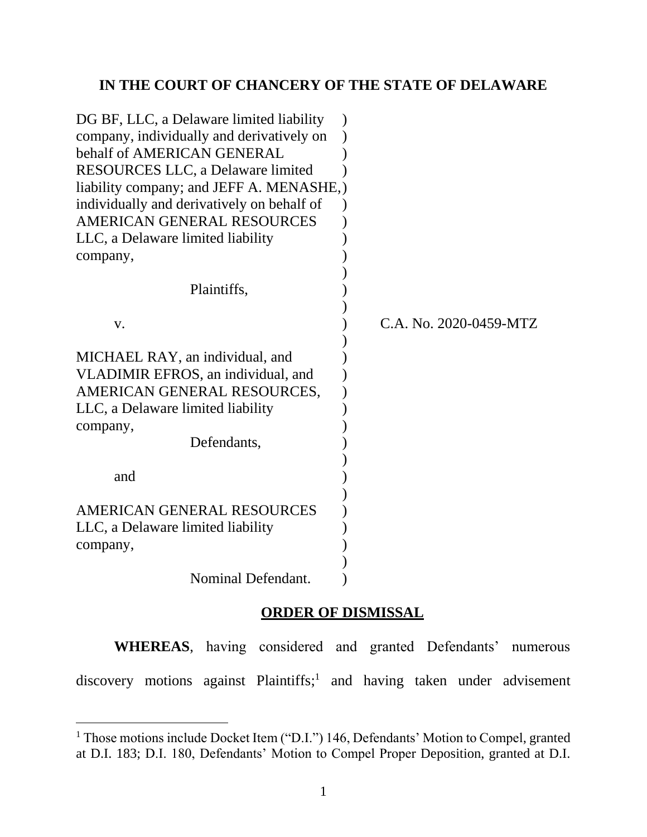## **IN THE COURT OF CHANCERY OF THE STATE OF DELAWARE**

| DG BF, LLC, a Delaware limited liability   |                        |
|--------------------------------------------|------------------------|
| company, individually and derivatively on  |                        |
| behalf of AMERICAN GENERAL                 |                        |
| <b>RESOURCES LLC, a Delaware limited</b>   |                        |
| liability company; and JEFF A. MENASHE,    |                        |
| individually and derivatively on behalf of |                        |
| AMERICAN GENERAL RESOURCES                 |                        |
| LLC, a Delaware limited liability          |                        |
| company,                                   |                        |
|                                            |                        |
| Plaintiffs,                                |                        |
|                                            |                        |
| V.                                         | C.A. No. 2020-0459-MTZ |
|                                            |                        |
| MICHAEL RAY, an individual, and            |                        |
| VLADIMIR EFROS, an individual, and         |                        |
| AMERICAN GENERAL RESOURCES,                |                        |
| LLC, a Delaware limited liability          |                        |
| company,                                   |                        |
| Defendants,                                |                        |
|                                            |                        |
| and                                        |                        |
|                                            |                        |
| AMERICAN GENERAL RESOURCES                 |                        |
| LLC, a Delaware limited liability          |                        |
| company,                                   |                        |
|                                            |                        |
| Nominal Defendant.                         |                        |

## **ORDER OF DISMISSAL**

**WHEREAS**, having considered and granted Defendants' numerous discovery motions against Plaintiffs; 1 and having taken under advisement

<sup>&</sup>lt;sup>1</sup> Those motions include Docket Item ("D.I.") 146, Defendants' Motion to Compel, granted at D.I. 183; D.I. 180, Defendants' Motion to Compel Proper Deposition, granted at D.I.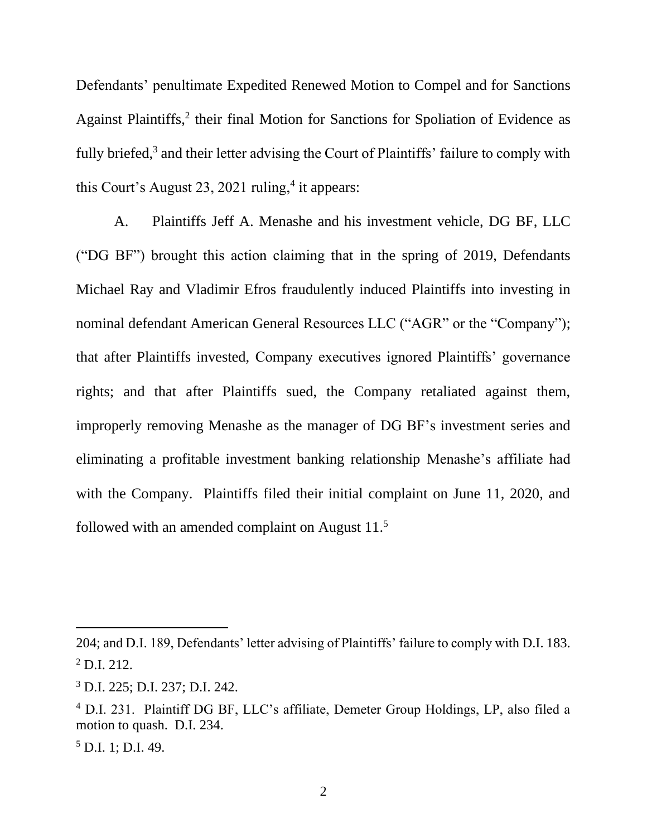Defendants' penultimate Expedited Renewed Motion to Compel and for Sanctions Against Plaintiffs,<sup>2</sup> their final Motion for Sanctions for Spoliation of Evidence as fully briefed, $3$  and their letter advising the Court of Plaintiffs' failure to comply with this Court's August 23, 2021 ruling, $4$  it appears:

A. Plaintiffs Jeff A. Menashe and his investment vehicle, DG BF, LLC ("DG BF") brought this action claiming that in the spring of 2019, Defendants Michael Ray and Vladimir Efros fraudulently induced Plaintiffs into investing in nominal defendant American General Resources LLC ("AGR" or the "Company"); that after Plaintiffs invested, Company executives ignored Plaintiffs' governance rights; and that after Plaintiffs sued, the Company retaliated against them, improperly removing Menashe as the manager of DG BF's investment series and eliminating a profitable investment banking relationship Menashe's affiliate had with the Company. Plaintiffs filed their initial complaint on June 11, 2020, and followed with an amended complaint on August 11.<sup>5</sup>

<sup>204;</sup> and D.I. 189, Defendants' letter advising of Plaintiffs' failure to comply with D.I. 183.  $^{2}$  D.I. 212.

<sup>3</sup> D.I. 225; D.I. 237; D.I. 242.

<sup>4</sup> D.I. 231. Plaintiff DG BF, LLC's affiliate, Demeter Group Holdings, LP, also filed a motion to quash. D.I. 234.

 $5$  D.I. 1; D.I. 49.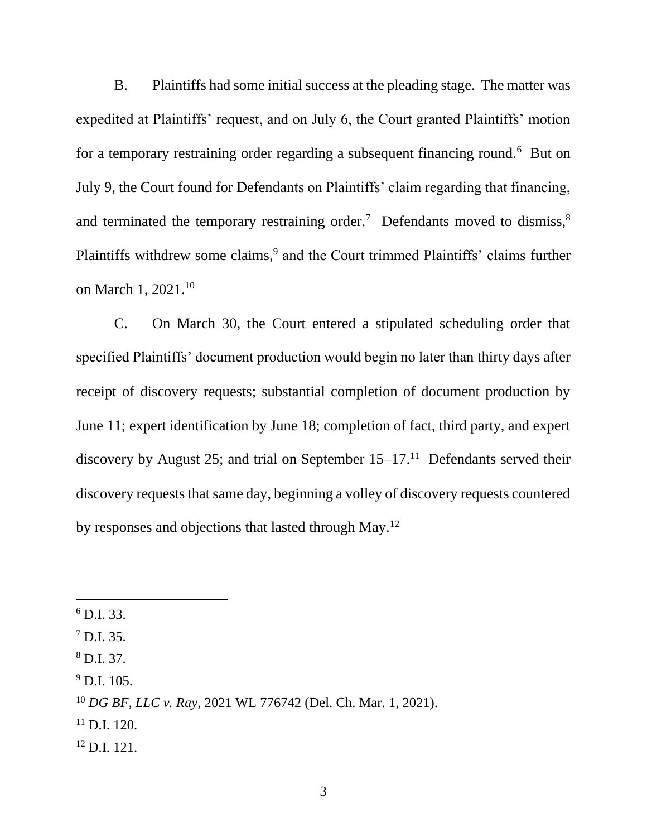B. Plaintiffs had some initial success at the pleading stage. The matter was expedited at Plaintiffs' request, and on July 6, the Court granted Plaintiffs' motion for a temporary restraining order regarding a subsequent financing round.<sup>6</sup> But on July 9, the Court found for Defendants on Plaintiffs' claim regarding that financing, and terminated the temporary restraining order.<sup>7</sup> Defendants moved to dismiss,<sup>8</sup> Plaintiffs withdrew some claims,<sup>9</sup> and the Court trimmed Plaintiffs' claims further on March 1, 2021.<sup>10</sup>

C. On March 30, the Court entered a stipulated scheduling order that specified Plaintiffs' document production would begin no later than thirty days after receipt of discovery requests; substantial completion of document production by June 11; expert identification by June 18; completion of fact, third party, and expert discovery by August 25; and trial on September  $15-17$ .<sup>11</sup> Defendants served their discovery requests that same day, beginning a volley of discovery requests countered by responses and objections that lasted through May.<sup>12</sup>

- <sup>11</sup> D.I. 120.
- <sup>12</sup> D.I. 121.

 $^6$  D.I. 33.

 $^7$  D.I. 35.

<sup>8</sup> D.I. 37.

 $^{9}$  D.I. 105.

<sup>10</sup> *DG BF, LLC v. Ray*, 2021 WL 776742 (Del. Ch. Mar. 1, 2021).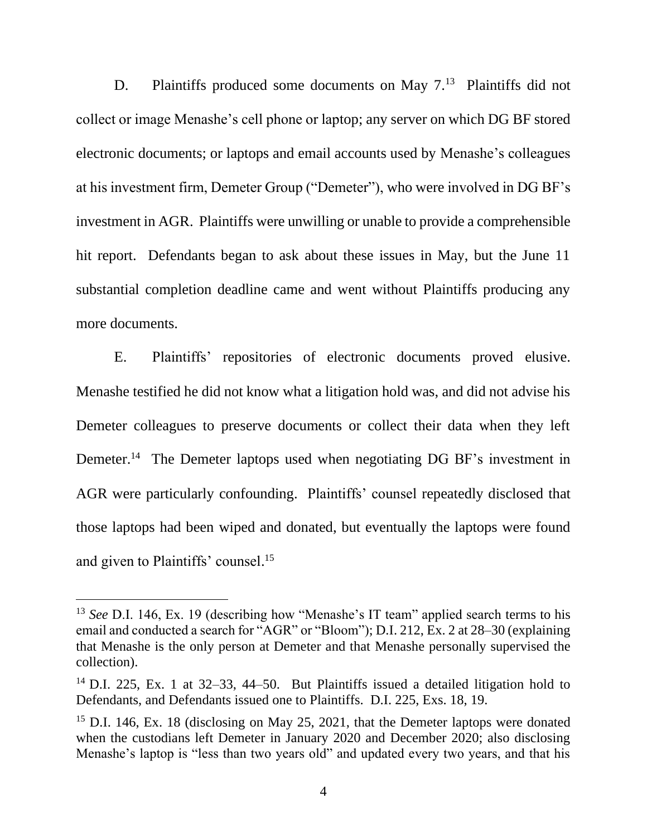D. Plaintiffs produced some documents on May 7.<sup>13</sup> Plaintiffs did not collect or image Menashe's cell phone or laptop; any server on which DG BF stored electronic documents; or laptops and email accounts used by Menashe's colleagues at his investment firm, Demeter Group ("Demeter"), who were involved in DG BF's investment in AGR. Plaintiffs were unwilling or unable to provide a comprehensible hit report. Defendants began to ask about these issues in May, but the June 11 substantial completion deadline came and went without Plaintiffs producing any more documents.

E. Plaintiffs' repositories of electronic documents proved elusive. Menashe testified he did not know what a litigation hold was, and did not advise his Demeter colleagues to preserve documents or collect their data when they left Demeter.<sup>14</sup> The Demeter laptops used when negotiating DG BF's investment in AGR were particularly confounding. Plaintiffs' counsel repeatedly disclosed that those laptops had been wiped and donated, but eventually the laptops were found and given to Plaintiffs' counsel. 15

<sup>&</sup>lt;sup>13</sup> *See* D.I. 146, Ex. 19 (describing how "Menashe's IT team" applied search terms to his email and conducted a search for "AGR" or "Bloom"); D.I. 212, Ex. 2 at 28–30 (explaining that Menashe is the only person at Demeter and that Menashe personally supervised the collection).

<sup>&</sup>lt;sup>14</sup> D.I. 225, Ex. 1 at 32–33, 44–50. But Plaintiffs issued a detailed litigation hold to Defendants, and Defendants issued one to Plaintiffs. D.I. 225, Exs. 18, 19.

<sup>&</sup>lt;sup>15</sup> D.I. 146, Ex. 18 (disclosing on May 25, 2021, that the Demeter laptops were donated when the custodians left Demeter in January 2020 and December 2020; also disclosing Menashe's laptop is "less than two years old" and updated every two years, and that his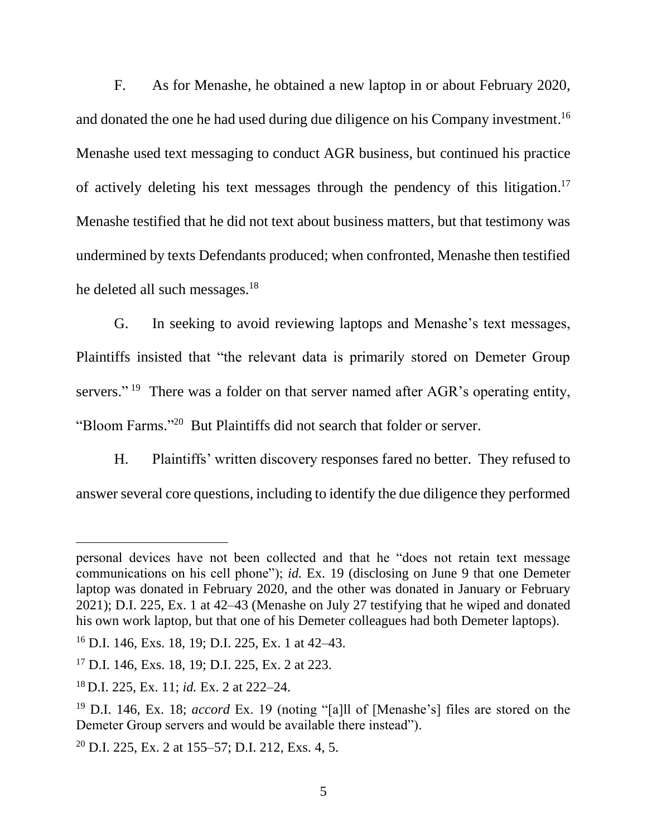F. As for Menashe, he obtained a new laptop in or about February 2020, and donated the one he had used during due diligence on his Company investment.<sup>16</sup> Menashe used text messaging to conduct AGR business, but continued his practice of actively deleting his text messages through the pendency of this litigation.<sup>17</sup> Menashe testified that he did not text about business matters, but that testimony was undermined by texts Defendants produced; when confronted, Menashe then testified he deleted all such messages.<sup>18</sup>

G. In seeking to avoid reviewing laptops and Menashe's text messages, Plaintiffs insisted that "the relevant data is primarily stored on Demeter Group servers."<sup>19</sup> There was a folder on that server named after AGR's operating entity, "Bloom Farms."<sup>20</sup> But Plaintiffs did not search that folder or server.

H. Plaintiffs' written discovery responses fared no better. They refused to answer several core questions, including to identify the due diligence they performed

personal devices have not been collected and that he "does not retain text message communications on his cell phone"); *id.* Ex. 19 (disclosing on June 9 that one Demeter laptop was donated in February 2020, and the other was donated in January or February 2021); D.I. 225, Ex. 1 at 42–43 (Menashe on July 27 testifying that he wiped and donated his own work laptop, but that one of his Demeter colleagues had both Demeter laptops).

<sup>16</sup> D.I. 146, Exs. 18, 19; D.I. 225, Ex. 1 at 42–43.

<sup>17</sup> D.I. 146, Exs. 18, 19; D.I. 225, Ex. 2 at 223.

<sup>18</sup> D.I. 225, Ex. 11; *id.* Ex. 2 at 222–24.

<sup>19</sup> D.I. 146, Ex. 18; *accord* Ex. 19 (noting "[a]ll of [Menashe's] files are stored on the Demeter Group servers and would be available there instead").

<sup>20</sup> D.I. 225, Ex. 2 at 155–57; D.I. 212, Exs. 4, 5.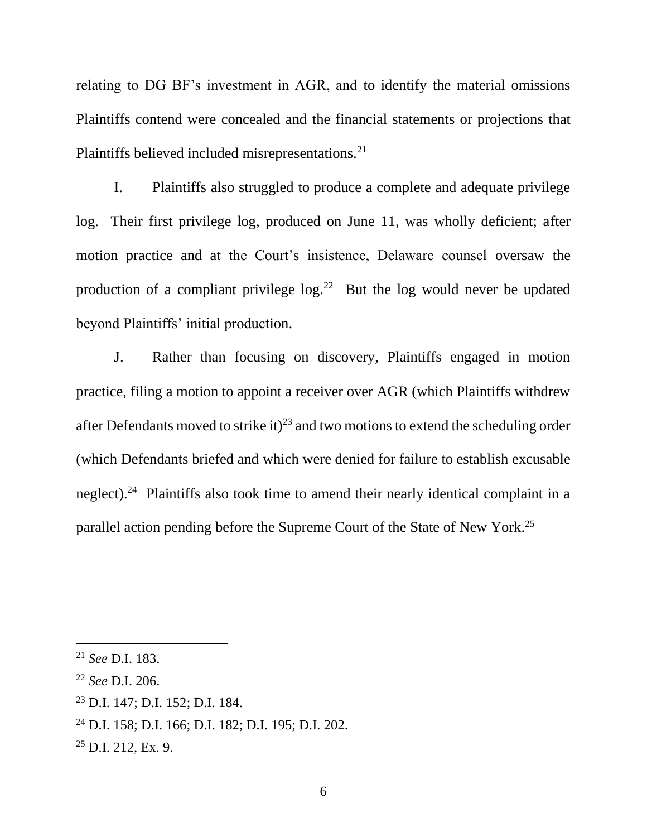relating to DG BF's investment in AGR, and to identify the material omissions Plaintiffs contend were concealed and the financial statements or projections that Plaintiffs believed included misrepresentations.<sup>21</sup>

I. Plaintiffs also struggled to produce a complete and adequate privilege log. Their first privilege log, produced on June 11, was wholly deficient; after motion practice and at the Court's insistence, Delaware counsel oversaw the production of a compliant privilege  $log.<sup>22</sup>$  But the log would never be updated beyond Plaintiffs' initial production.

J. Rather than focusing on discovery, Plaintiffs engaged in motion practice, filing a motion to appoint a receiver over AGR (which Plaintiffs withdrew after Defendants moved to strike it)<sup>23</sup> and two motions to extend the scheduling order (which Defendants briefed and which were denied for failure to establish excusable neglect).<sup>24</sup> Plaintiffs also took time to amend their nearly identical complaint in a parallel action pending before the Supreme Court of the State of New York.<sup>25</sup>

<sup>21</sup> *See* D.I. 183.

<sup>22</sup> *See* D.I. 206.

<sup>23</sup> D.I. 147; D.I. 152; D.I. 184.

<sup>24</sup> D.I. 158; D.I. 166; D.I. 182; D.I. 195; D.I. 202.

 $25$  D.I. 212, Ex. 9.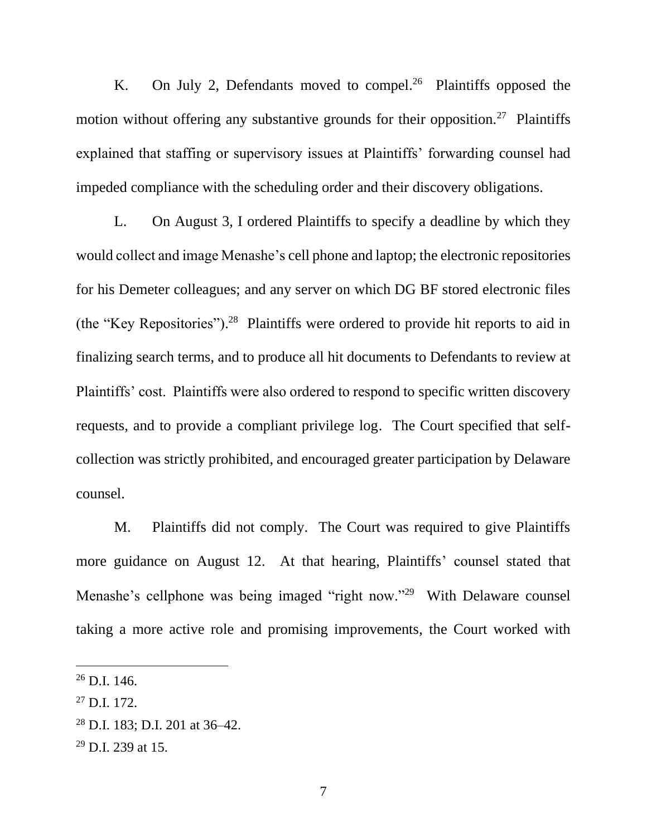K. On July 2, Defendants moved to compel.<sup>26</sup> Plaintiffs opposed the motion without offering any substantive grounds for their opposition.<sup>27</sup> Plaintiffs explained that staffing or supervisory issues at Plaintiffs' forwarding counsel had impeded compliance with the scheduling order and their discovery obligations.

L. On August 3, I ordered Plaintiffs to specify a deadline by which they would collect and image Menashe's cell phone and laptop; the electronic repositories for his Demeter colleagues; and any server on which DG BF stored electronic files (the "Key Repositories"). 28 Plaintiffs were ordered to provide hit reports to aid in finalizing search terms, and to produce all hit documents to Defendants to review at Plaintiffs' cost. Plaintiffs were also ordered to respond to specific written discovery requests, and to provide a compliant privilege log. The Court specified that selfcollection was strictly prohibited, and encouraged greater participation by Delaware counsel.

M. Plaintiffs did not comply. The Court was required to give Plaintiffs more guidance on August 12. At that hearing, Plaintiffs' counsel stated that Menashe's cellphone was being imaged "right now."<sup>29</sup> With Delaware counsel taking a more active role and promising improvements, the Court worked with

 $^{26}$  D.I. 146.

<sup>27</sup> D.I. 172.

<sup>28</sup> D.I. 183; D.I. 201 at 36–42.

 $29$  D.I. 239 at 15.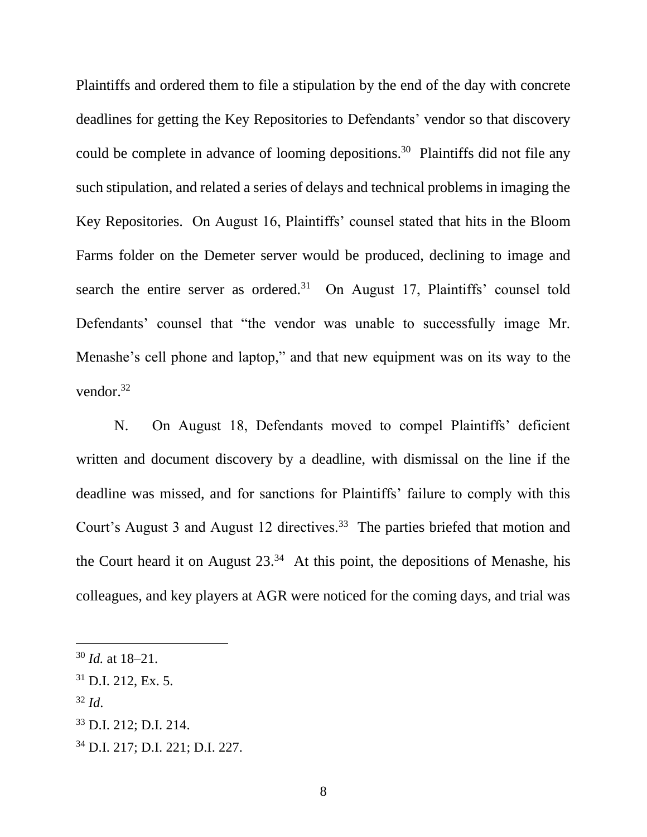Plaintiffs and ordered them to file a stipulation by the end of the day with concrete deadlines for getting the Key Repositories to Defendants' vendor so that discovery could be complete in advance of looming depositions.<sup>30</sup> Plaintiffs did not file any such stipulation, and related a series of delays and technical problems in imaging the Key Repositories. On August 16, Plaintiffs' counsel stated that hits in the Bloom Farms folder on the Demeter server would be produced, declining to image and search the entire server as ordered.<sup>31</sup> On August 17, Plaintiffs' counsel told Defendants' counsel that "the vendor was unable to successfully image Mr. Menashe's cell phone and laptop," and that new equipment was on its way to the vendor. 32

N. On August 18, Defendants moved to compel Plaintiffs' deficient written and document discovery by a deadline, with dismissal on the line if the deadline was missed, and for sanctions for Plaintiffs' failure to comply with this Court's August 3 and August 12 directives.<sup>33</sup> The parties briefed that motion and the Court heard it on August  $23.^{34}$  At this point, the depositions of Menashe, his colleagues, and key players at AGR were noticed for the coming days, and trial was

<sup>32</sup> *Id*.

<sup>34</sup> D.I. 217; D.I. 221; D.I. 227.

<sup>30</sup> *Id.* at 18–21.

 $31$  D.I. 212, Ex. 5.

<sup>33</sup> D.I. 212; D.I. 214.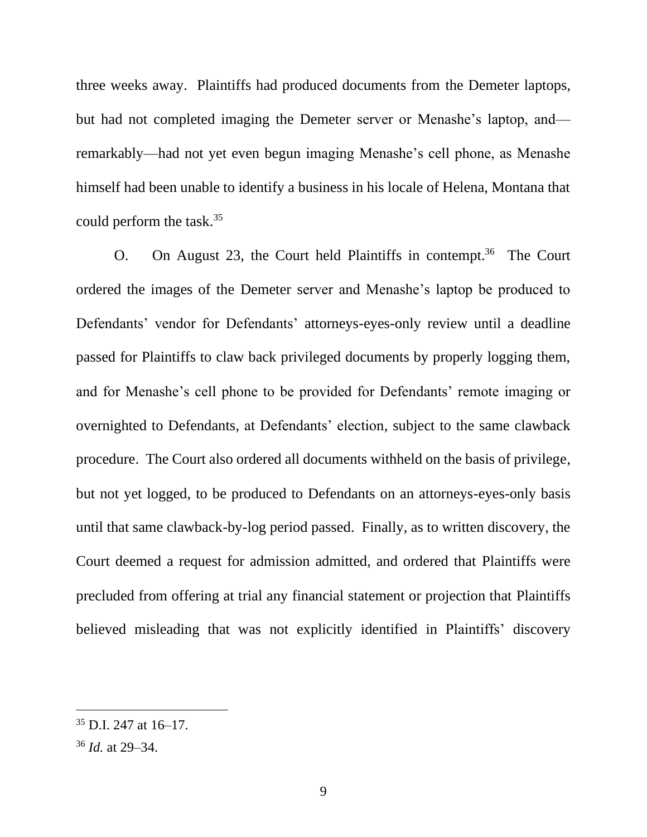three weeks away. Plaintiffs had produced documents from the Demeter laptops, but had not completed imaging the Demeter server or Menashe's laptop, and remarkably—had not yet even begun imaging Menashe's cell phone, as Menashe himself had been unable to identify a business in his locale of Helena, Montana that could perform the task.<sup>35</sup>

O. On August 23, the Court held Plaintiffs in contempt.<sup>36</sup> The Court ordered the images of the Demeter server and Menashe's laptop be produced to Defendants' vendor for Defendants' attorneys-eyes-only review until a deadline passed for Plaintiffs to claw back privileged documents by properly logging them, and for Menashe's cell phone to be provided for Defendants' remote imaging or overnighted to Defendants, at Defendants' election, subject to the same clawback procedure. The Court also ordered all documents withheld on the basis of privilege, but not yet logged, to be produced to Defendants on an attorneys-eyes-only basis until that same clawback-by-log period passed. Finally, as to written discovery, the Court deemed a request for admission admitted, and ordered that Plaintiffs were precluded from offering at trial any financial statement or projection that Plaintiffs believed misleading that was not explicitly identified in Plaintiffs' discovery

 $35$  D.I. 247 at 16–17.

<sup>36</sup> *Id.* at 29–34.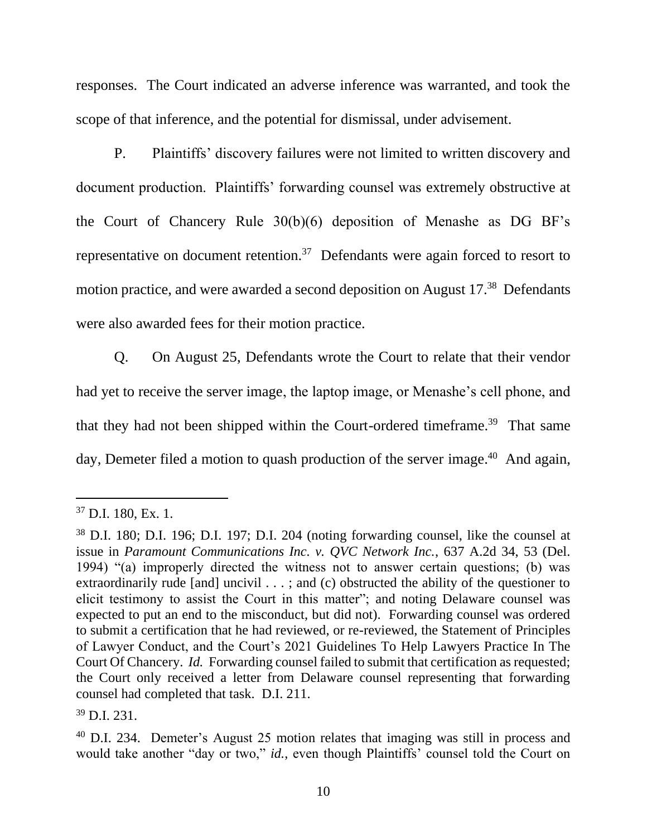responses. The Court indicated an adverse inference was warranted, and took the scope of that inference, and the potential for dismissal, under advisement.

P. Plaintiffs' discovery failures were not limited to written discovery and document production. Plaintiffs' forwarding counsel was extremely obstructive at the Court of Chancery Rule 30(b)(6) deposition of Menashe as DG BF's representative on document retention.<sup>37</sup> Defendants were again forced to resort to motion practice, and were awarded a second deposition on August 17.<sup>38</sup> Defendants were also awarded fees for their motion practice.

Q. On August 25, Defendants wrote the Court to relate that their vendor had yet to receive the server image, the laptop image, or Menashe's cell phone, and that they had not been shipped within the Court-ordered timeframe.<sup>39</sup> That same day, Demeter filed a motion to quash production of the server image.<sup>40</sup> And again,

<sup>39</sup> D.I. 231.

 $37$  D.I. 180, Ex. 1.

<sup>38</sup> D.I. 180; D.I. 196; D.I. 197; D.I. 204 (noting forwarding counsel, like the counsel at issue in *Paramount Communications Inc. v. QVC Network Inc.*, 637 A.2d 34, 53 (Del. 1994) "(a) improperly directed the witness not to answer certain questions; (b) was extraordinarily rude [and] uncivil . . .; and (c) obstructed the ability of the questioner to elicit testimony to assist the Court in this matter"; and noting Delaware counsel was expected to put an end to the misconduct, but did not). Forwarding counsel was ordered to submit a certification that he had reviewed, or re-reviewed, the Statement of Principles of Lawyer Conduct, and the Court's 2021 Guidelines To Help Lawyers Practice In The Court Of Chancery. *Id.* Forwarding counsel failed to submit that certification as requested; the Court only received a letter from Delaware counsel representing that forwarding counsel had completed that task. D.I. 211.

<sup>40</sup> D.I. 234. Demeter's August 25 motion relates that imaging was still in process and would take another "day or two," *id.*, even though Plaintiffs' counsel told the Court on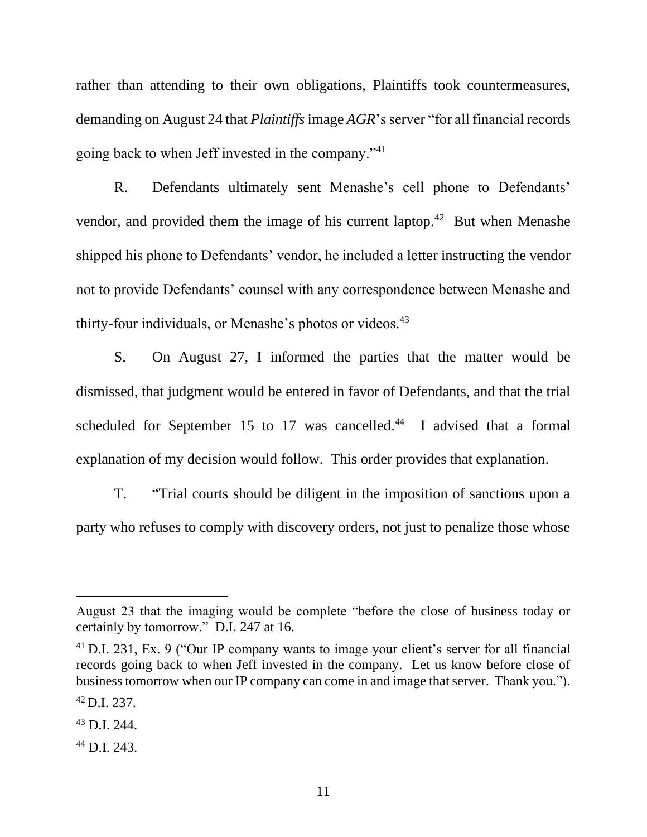rather than attending to their own obligations, Plaintiffs took countermeasures, demanding on August 24 that *Plaintiffs*image *AGR*'s server "for all financial records going back to when Jeff invested in the company."<sup>41</sup>

R. Defendants ultimately sent Menashe's cell phone to Defendants' vendor, and provided them the image of his current laptop.<sup>42</sup> But when Menashe shipped his phone to Defendants' vendor, he included a letter instructing the vendor not to provide Defendants' counsel with any correspondence between Menashe and thirty-four individuals, or Menashe's photos or videos.<sup>43</sup>

S. On August 27, I informed the parties that the matter would be dismissed, that judgment would be entered in favor of Defendants, and that the trial scheduled for September 15 to 17 was cancelled. $44$  I advised that a formal explanation of my decision would follow. This order provides that explanation.

T. "Trial courts should be diligent in the imposition of sanctions upon a party who refuses to comply with discovery orders, not just to penalize those whose

August 23 that the imaging would be complete "before the close of business today or certainly by tomorrow." D.I. 247 at 16.

<sup>41</sup> D.I. 231, Ex. 9 ("Our IP company wants to image your client's server for all financial records going back to when Jeff invested in the company. Let us know before close of business tomorrow when our IP company can come in and image that server. Thank you.").

 $^{42}$  D.I. 237.

<sup>43</sup> D.I. 244.

<sup>44</sup> D.I. 243.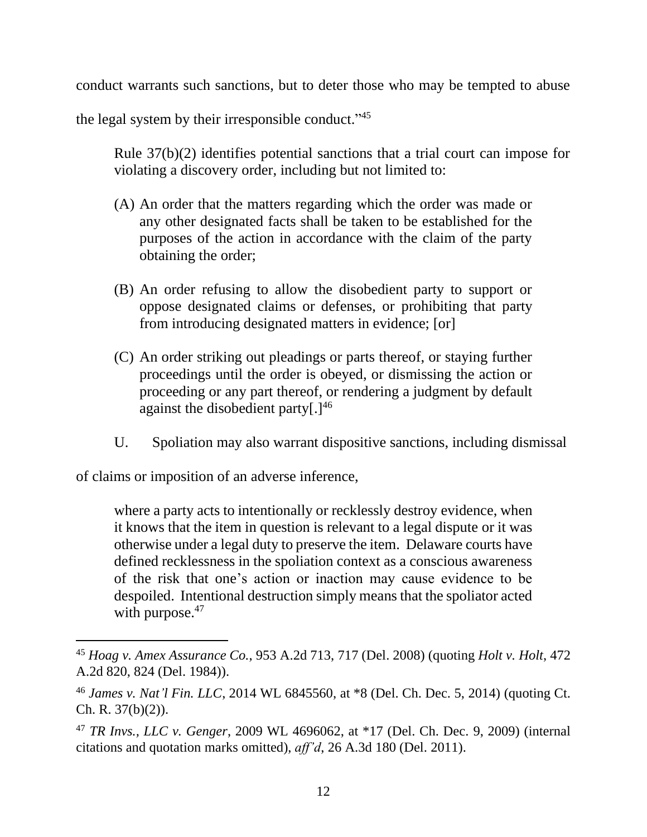conduct warrants such sanctions, but to deter those who may be tempted to abuse

the legal system by their irresponsible conduct."<sup>45</sup>

Rule 37(b)(2) identifies potential sanctions that a trial court can impose for violating a discovery order, including but not limited to:

- (A) An order that the matters regarding which the order was made or any other designated facts shall be taken to be established for the purposes of the action in accordance with the claim of the party obtaining the order;
- (B) An order refusing to allow the disobedient party to support or oppose designated claims or defenses, or prohibiting that party from introducing designated matters in evidence; [or]
- (C) An order striking out pleadings or parts thereof, or staying further proceedings until the order is obeyed, or dismissing the action or proceeding or any part thereof, or rendering a judgment by default against the disobedient party $[.]^{46}$
- U. Spoliation may also warrant dispositive sanctions, including dismissal

of claims or imposition of an adverse inference,

where a party acts to intentionally or recklessly destroy evidence, when it knows that the item in question is relevant to a legal dispute or it was otherwise under a legal duty to preserve the item. Delaware courts have defined recklessness in the spoliation context as a conscious awareness of the risk that one's action or inaction may cause evidence to be despoiled. Intentional destruction simply means that the spoliator acted with purpose.<sup>47</sup>

<sup>45</sup> *Hoag v. Amex Assurance Co.*, 953 A.2d 713, 717 (Del. 2008) (quoting *Holt v. Holt*, 472 A.2d 820, 824 (Del. 1984)).

<sup>46</sup> *James v. Nat'l Fin. LLC*, 2014 WL 6845560, at \*8 (Del. Ch. Dec. 5, 2014) (quoting Ct. Ch. R. 37(b)(2)).

<sup>47</sup> *TR Invs., LLC v. Genger*, 2009 WL 4696062, at \*17 (Del. Ch. Dec. 9, 2009) (internal citations and quotation marks omitted), *aff'd*, 26 A.3d 180 (Del. 2011).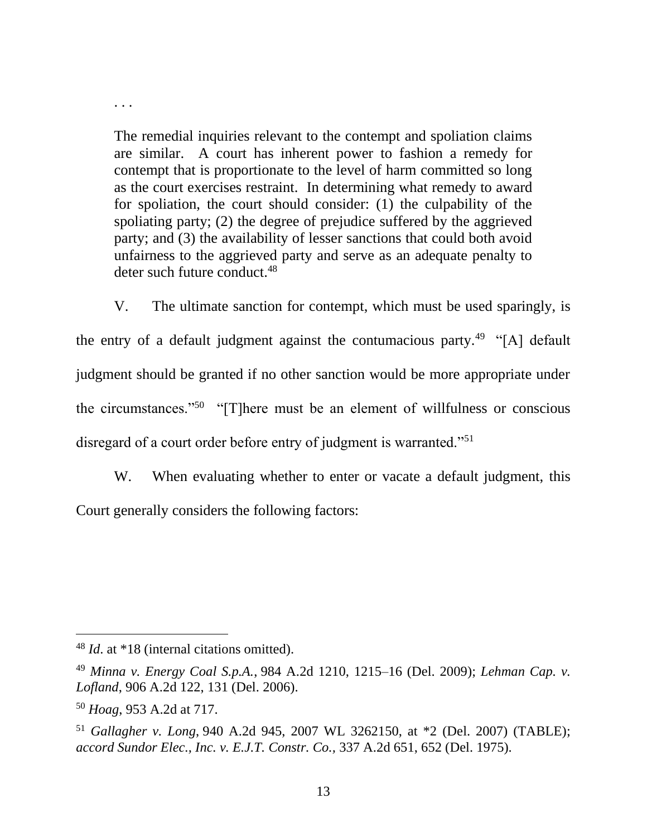The remedial inquiries relevant to the contempt and spoliation claims are similar. A court has inherent power to fashion a remedy for contempt that is proportionate to the level of harm committed so long as the court exercises restraint. In determining what remedy to award for spoliation, the court should consider: (1) the culpability of the spoliating party; (2) the degree of prejudice suffered by the aggrieved party; and (3) the availability of lesser sanctions that could both avoid unfairness to the aggrieved party and serve as an adequate penalty to deter such future conduct.<sup>48</sup>

V. The ultimate sanction for contempt, which must be used sparingly, is the entry of a default judgment against the contumacious party.<sup>49</sup> "[A] default judgment should be granted if no other sanction would be more appropriate under the circumstances."<sup>50</sup> "[T]here must be an element of willfulness or conscious disregard of a court order before entry of judgment is warranted."<sup>51</sup>

W. When evaluating whether to enter or vacate a default judgment, this Court generally considers the following factors:

. . .

<sup>48</sup> *Id*. at \*18 (internal citations omitted).

<sup>49</sup> *Minna v. Energy Coal S.p.A.*, 984 A.2d 1210, 1215–16 (Del. 2009); *Lehman Cap. v. Lofland*, 906 A.2d 122, 131 (Del. 2006).

<sup>50</sup> *Hoag*, 953 A.2d at 717.

<sup>51</sup> *Gallagher v. Long*, 940 A.2d 945, 2007 WL 3262150, at \*2 (Del. 2007) (TABLE); *accord Sundor Elec., Inc. v. E.J.T. Constr. Co.,* 337 A.2d 651, 652 (Del. 1975).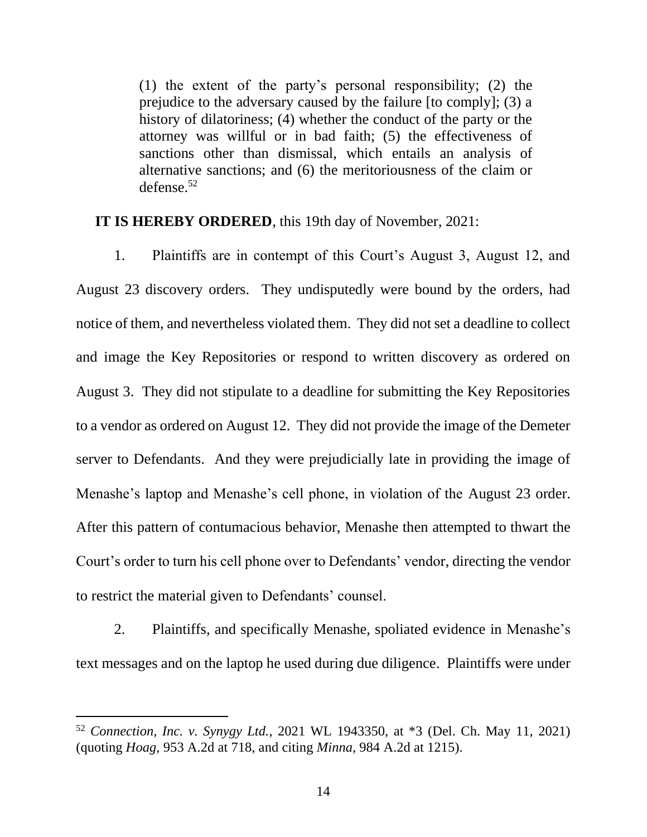(1) the extent of the party's personal responsibility; (2) the prejudice to the adversary caused by the failure [to comply]; (3) a history of dilatoriness; (4) whether the conduct of the party or the attorney was willful or in bad faith; (5) the effectiveness of sanctions other than dismissal, which entails an analysis of alternative sanctions; and (6) the meritoriousness of the claim or defense. $52$ 

**IT IS HEREBY ORDERED**, this 19th day of November, 2021:

1. Plaintiffs are in contempt of this Court's August 3, August 12, and August 23 discovery orders. They undisputedly were bound by the orders, had notice of them, and nevertheless violated them. They did not set a deadline to collect and image the Key Repositories or respond to written discovery as ordered on August 3. They did not stipulate to a deadline for submitting the Key Repositories to a vendor as ordered on August 12. They did not provide the image of the Demeter server to Defendants. And they were prejudicially late in providing the image of Menashe's laptop and Menashe's cell phone, in violation of the August 23 order. After this pattern of contumacious behavior, Menashe then attempted to thwart the Court's order to turn his cell phone over to Defendants' vendor, directing the vendor to restrict the material given to Defendants' counsel.

2. Plaintiffs, and specifically Menashe, spoliated evidence in Menashe's text messages and on the laptop he used during due diligence. Plaintiffs were under

<sup>52</sup> *Connection, Inc. v. Synygy Ltd.*, 2021 WL 1943350, at \*3 (Del. Ch. May 11, 2021) (quoting *Hoag*, 953 A.2d at 718, and citing *Minna*, 984 A.2d at 1215).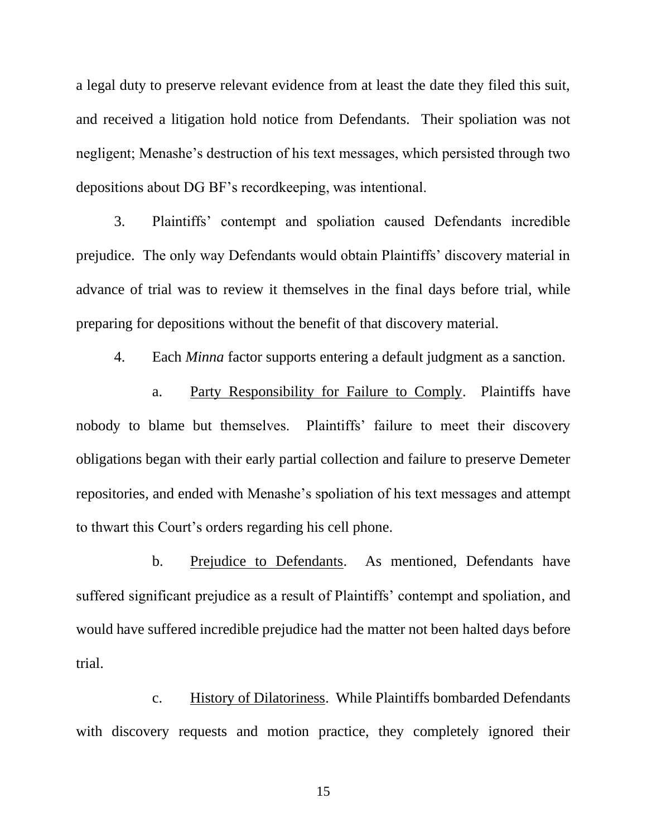a legal duty to preserve relevant evidence from at least the date they filed this suit, and received a litigation hold notice from Defendants. Their spoliation was not negligent; Menashe's destruction of his text messages, which persisted through two depositions about DG BF's recordkeeping, was intentional.

3. Plaintiffs' contempt and spoliation caused Defendants incredible prejudice. The only way Defendants would obtain Plaintiffs' discovery material in advance of trial was to review it themselves in the final days before trial, while preparing for depositions without the benefit of that discovery material.

4. Each *Minna* factor supports entering a default judgment as a sanction.

a. Party Responsibility for Failure to Comply. Plaintiffs have nobody to blame but themselves. Plaintiffs' failure to meet their discovery obligations began with their early partial collection and failure to preserve Demeter repositories, and ended with Menashe's spoliation of his text messages and attempt to thwart this Court's orders regarding his cell phone.

b. Prejudice to Defendants. As mentioned, Defendants have suffered significant prejudice as a result of Plaintiffs' contempt and spoliation, and would have suffered incredible prejudice had the matter not been halted days before trial.

c. History of Dilatoriness. While Plaintiffs bombarded Defendants with discovery requests and motion practice, they completely ignored their

15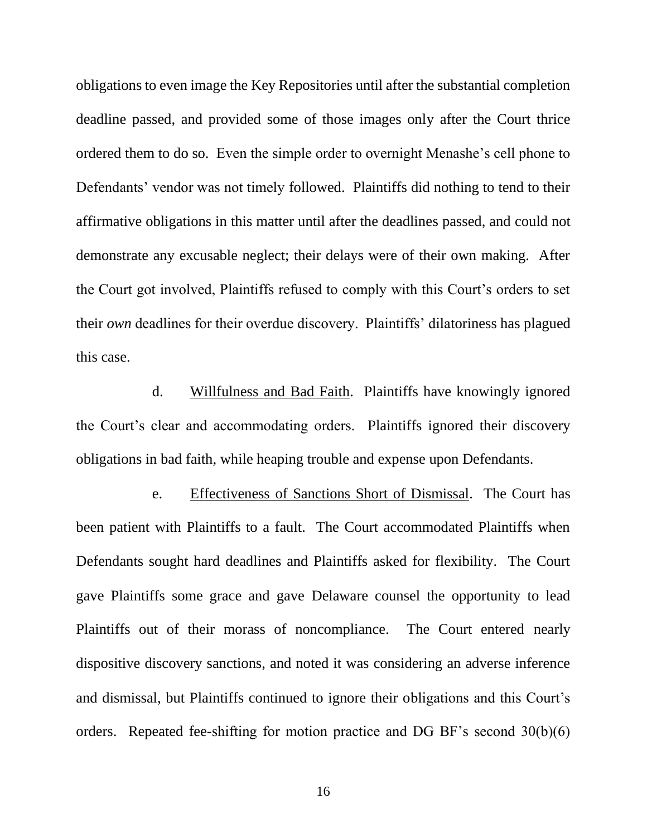obligations to even image the Key Repositories until after the substantial completion deadline passed, and provided some of those images only after the Court thrice ordered them to do so. Even the simple order to overnight Menashe's cell phone to Defendants' vendor was not timely followed. Plaintiffs did nothing to tend to their affirmative obligations in this matter until after the deadlines passed, and could not demonstrate any excusable neglect; their delays were of their own making. After the Court got involved, Plaintiffs refused to comply with this Court's orders to set their *own* deadlines for their overdue discovery. Plaintiffs' dilatoriness has plagued this case.

d. Willfulness and Bad Faith. Plaintiffs have knowingly ignored the Court's clear and accommodating orders. Plaintiffs ignored their discovery obligations in bad faith, while heaping trouble and expense upon Defendants.

e. Effectiveness of Sanctions Short of Dismissal. The Court has been patient with Plaintiffs to a fault. The Court accommodated Plaintiffs when Defendants sought hard deadlines and Plaintiffs asked for flexibility. The Court gave Plaintiffs some grace and gave Delaware counsel the opportunity to lead Plaintiffs out of their morass of noncompliance. The Court entered nearly dispositive discovery sanctions, and noted it was considering an adverse inference and dismissal, but Plaintiffs continued to ignore their obligations and this Court's orders. Repeated fee-shifting for motion practice and DG BF's second 30(b)(6)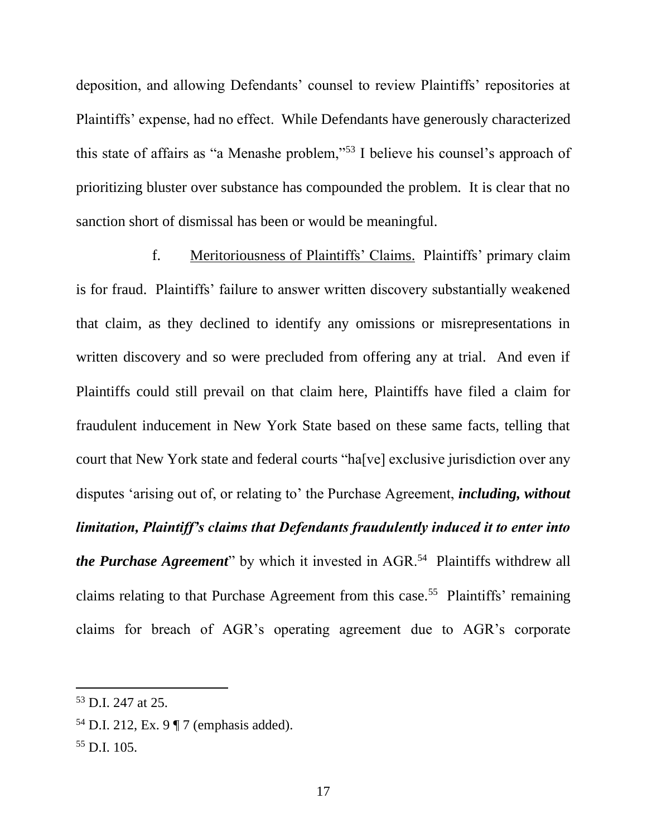deposition, and allowing Defendants' counsel to review Plaintiffs' repositories at Plaintiffs' expense, had no effect. While Defendants have generously characterized this state of affairs as "a Menashe problem,"<sup>53</sup> I believe his counsel's approach of prioritizing bluster over substance has compounded the problem. It is clear that no sanction short of dismissal has been or would be meaningful.

f. Meritoriousness of Plaintiffs' Claims. Plaintiffs' primary claim is for fraud. Plaintiffs' failure to answer written discovery substantially weakened that claim, as they declined to identify any omissions or misrepresentations in written discovery and so were precluded from offering any at trial. And even if Plaintiffs could still prevail on that claim here, Plaintiffs have filed a claim for fraudulent inducement in New York State based on these same facts, telling that court that New York state and federal courts "ha[ve] exclusive jurisdiction over any disputes 'arising out of, or relating to' the Purchase Agreement, *including, without limitation, Plaintiff's claims that Defendants fraudulently induced it to enter into the Purchase Agreement*" by which it invested in AGR.<sup>54</sup> Plaintiffs withdrew all claims relating to that Purchase Agreement from this case.<sup>55</sup> Plaintiffs' remaining claims for breach of AGR's operating agreement due to AGR's corporate

<sup>53</sup> D.I. 247 at 25.

<sup>54</sup> D.I. 212, Ex. 9 ¶ 7 (emphasis added).

<sup>55</sup> D.I. 105.